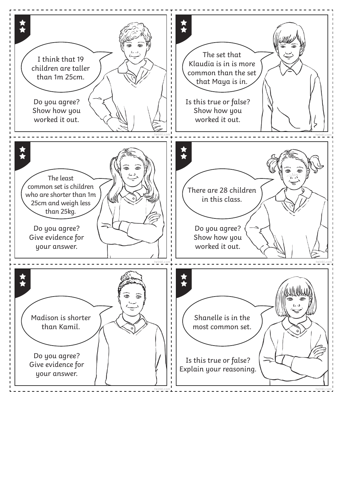